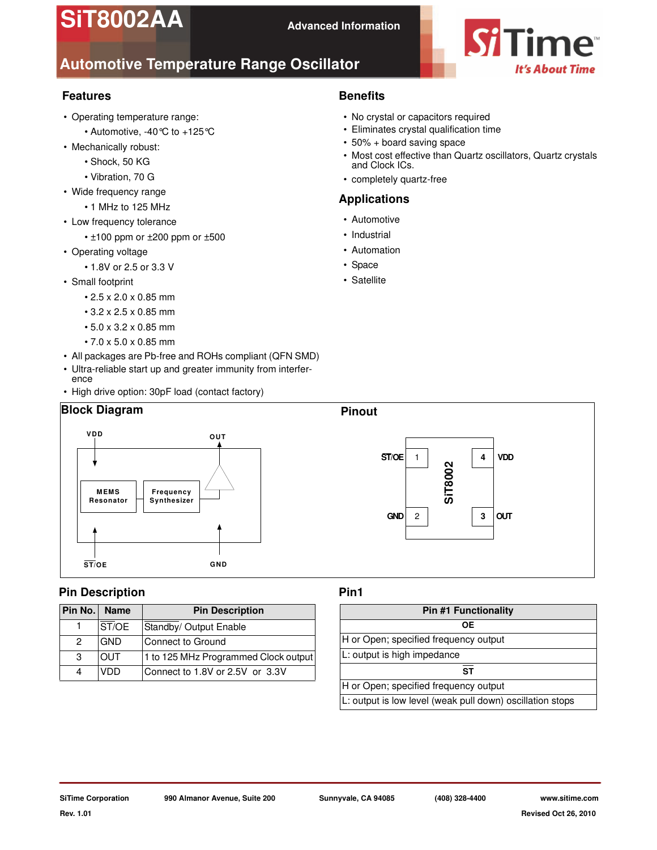# **SiT8002AA**



# **Automotive Temperature Range Oscillator**

# **Features**

- Operating temperature range:
	- Automotive, -40°C to +125°C
- Mechanically robust:
	- Shock, 50 KG
	- Vibration, 70 G
- Wide frequency range
	- 1 MHz to 125 MHz
- Low frequency tolerance
	- $\cdot$  ±100 ppm or  $\pm$ 200 ppm or  $\pm$ 500
- Operating voltage
	- 1.8V or 2.5 or 3.3 V
- Small footprint
	- 2.5 x 2.0 x 0.85 mm
	- 3.2 x 2.5 x 0.85 mm
	- 5.0 x 3.2 x 0.85 mm
	- 7.0 x 5.0 x 0.85 mm
- All packages are Pb-free and ROHs compliant (QFN SMD)
- Ultra-reliable start up and greater immunity from interference
- High drive option: 30pF load (contact factory)

# **Block Diagram Pinout**



# **Pin Description**

| Pin No. | <b>Name</b> | <b>Pin Description</b>               |
|---------|-------------|--------------------------------------|
|         | ST/OE       | Standby/ Output Enable               |
| 2       | <b>GND</b>  | Connect to Ground                    |
| -3      | OUT         | 1 to 125 MHz Programmed Clock output |
|         | חח/         | Connect to 1.8V or 2.5V or 3.3V      |

# **Benefits**

- No crystal or capacitors required
- Eliminates crystal qualification time
- 50% + board saving space
- Most cost effective than Quartz oscillators, Quartz crystals and Clock ICs.
- completely quartz-free

## **Applications**

- Automotive
- Industrial
- Automation
- Space
- Satellite



# **Pin1**

| <b>Pin #1 Functionality</b>                               |  |  |  |  |
|-----------------------------------------------------------|--|--|--|--|
| ОE                                                        |  |  |  |  |
| H or Open; specified frequency output                     |  |  |  |  |
| L: output is high impedance                               |  |  |  |  |
| ST                                                        |  |  |  |  |
| H or Open; specified frequency output                     |  |  |  |  |
| L: output is low level (weak pull down) oscillation stops |  |  |  |  |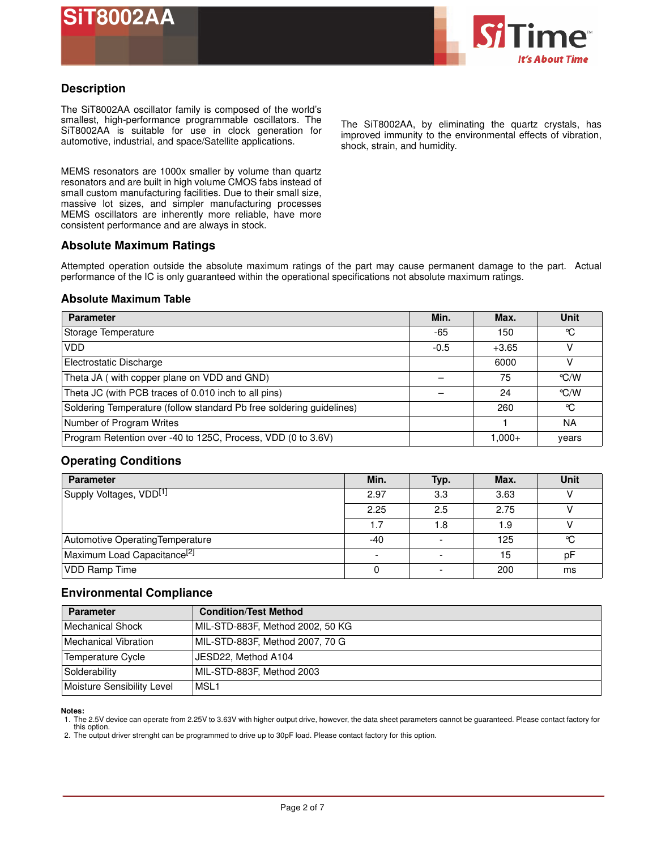



## **Description**

The SiT8002AA oscillator family is composed of the world's smallest, high-performance programmable oscillators. The SiT8002AA is suitable for use in clock generation for automotive, industrial, and space/Satellite applications.

MEMS resonators are 1000x smaller by volume than quartz resonators and are built in high volume CMOS fabs instead of small custom manufacturing facilities. Due to their small size, massive lot sizes, and simpler manufacturing processes MEMS oscillators are inherently more reliable, have more consistent performance and are always in stock.

The SiT8002AA, by eliminating the quartz crystals, has improved immunity to the environmental effects of vibration, shock, strain, and humidity.

#### **Absolute Maximum Ratings**

Attempted operation outside the absolute maximum ratings of the part may cause permanent damage to the part. Actual performance of the IC is only guaranteed within the operational specifications not absolute maximum ratings.

#### **Absolute Maximum Table**

| <b>Parameter</b>                                                     | Min.   | Max.      | Unit               |
|----------------------------------------------------------------------|--------|-----------|--------------------|
| Storage Temperature                                                  | -65    | 150       | °C                 |
| <b>VDD</b>                                                           | $-0.5$ | $+3.65$   |                    |
| Electrostatic Discharge                                              |        | 6000      |                    |
| Theta JA (with copper plane on VDD and GND)                          |        | 75        | $\degree$ C/W      |
| Theta JC (with PCB traces of 0.010 inch to all pins)                 |        | 24        | $\rm ^{\circ}$ C/W |
| Soldering Temperature (follow standard Pb free soldering guidelines) |        | 260       | °C                 |
| Number of Program Writes                                             |        |           | <b>NA</b>          |
| Program Retention over -40 to 125C, Process, VDD (0 to 3.6V)         |        | $1.000 +$ | years              |

#### **Operating Conditions**

| <b>Parameter</b>                        | Min.  | Typ.                     | Max. | <b>Unit</b> |
|-----------------------------------------|-------|--------------------------|------|-------------|
| Supply Voltages, VDD <sup>[1]</sup>     | 2.97  | 3.3                      | 3.63 |             |
|                                         | 2.25  | 2.5                      | 2.75 |             |
|                                         | 1.7   | 1.8                      | 1.9  |             |
| Automotive Operating Temperature        | $-40$ | $\overline{\phantom{a}}$ | 125  | °C          |
| Maximum Load Capacitance <sup>[2]</sup> |       |                          | 15   | pF          |
| <b>VDD Ramp Time</b>                    |       | $\overline{\phantom{0}}$ | 200  | ms          |

#### **Environmental Compliance**

| <b>Parameter</b>           | <b>Condition/Test Method</b>     |
|----------------------------|----------------------------------|
| Mechanical Shock           | MIL-STD-883F, Method 2002, 50 KG |
| Mechanical Vibration       | MIL-STD-883F, Method 2007, 70 G  |
| Temperature Cycle          | JESD22, Method A104              |
| Solderability              | MIL-STD-883F, Method 2003        |
| Moisture Sensibility Level | IMSL1                            |

**Notes:** 

1. The 2.5V device can operate from 2.25V to 3.63V with higher output drive, however, the data sheet parameters cannot be guaranteed. Please contact factory for this option.

2. The output driver strenght can be programmed to drive up to 30pF load. Please contact factory for this option.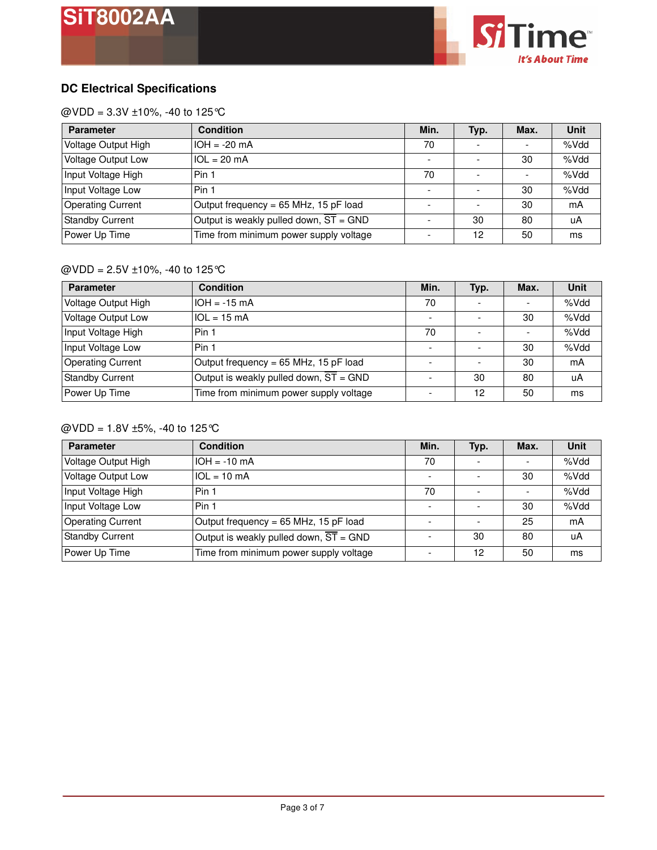

# **DC Electrical Specifications**

 $@VDD = 3.3V \pm 10\%, -40 \text{ to } 125^{\circ}\text{C}$ 

| <b>Parameter</b>          | <b>Condition</b>                                    | Min. | Typ. | Max.                     | Unit |
|---------------------------|-----------------------------------------------------|------|------|--------------------------|------|
| Voltage Output High       | $IOH = -20 mA$                                      | 70   |      | $\overline{\phantom{0}}$ | %Vdd |
| <b>Voltage Output Low</b> | $1OL = 20 mA$                                       |      |      | 30                       | %Vdd |
| Input Voltage High        | Pin 1                                               | 70   |      |                          | %Vdd |
| Input Voltage Low         | Pin 1                                               |      |      | 30                       | %Vdd |
| <b>Operating Current</b>  | Output frequency = 65 MHz, 15 pF load               |      |      | 30                       | mA   |
| <b>Standby Current</b>    | Output is weakly pulled down, $\overline{ST}$ = GND |      | 30   | 80                       | uA   |
| Power Up Time             | Time from minimum power supply voltage              |      | 12   | 50                       | ms   |

# @VDD = 2.5V ±10%, -40 to 125°C

| <b>Parameter</b>          | <b>Condition</b>                                    | Min. | Typ. | Max.                     | <b>Unit</b> |
|---------------------------|-----------------------------------------------------|------|------|--------------------------|-------------|
| Voltage Output High       | $IOH = -15 mA$                                      | 70   |      |                          | %Vdd        |
| <b>Voltage Output Low</b> | $\text{IOL} = 15 \text{ mA}$                        |      |      | 30                       | %Vdd        |
| Input Voltage High        | Pin 1                                               | 70   | -    | $\overline{\phantom{a}}$ | %Vdd        |
| Input Voltage Low         | Pin 1                                               |      |      | 30                       | %Vdd        |
| <b>Operating Current</b>  | Output frequency = 65 MHz, 15 pF load               |      |      | 30                       | mA          |
| <b>Standby Current</b>    | Output is weakly pulled down, $\overline{ST}$ = GND |      | 30   | 80                       | uA          |
| Power Up Time             | Time from minimum power supply voltage              |      | 12   | 50                       | ms          |

#### @VDD = 1.8V ±5%, -40 to 125°C

| <b>Parameter</b>          | <b>Condition</b>                                    | Min. | Typ. | Max. | <b>Unit</b> |
|---------------------------|-----------------------------------------------------|------|------|------|-------------|
| Voltage Output High       | $IOH = -10 mA$                                      | 70   |      |      | %Vdd        |
| <b>Voltage Output Low</b> | $1OL = 10 mA$                                       |      |      | 30   | %Vdd        |
| Input Voltage High        | Pin 1                                               | 70   |      |      | %Vdd        |
| Input Voltage Low         | Pin 1                                               |      |      | 30   | %Vdd        |
| <b>Operating Current</b>  | Output frequency = 65 MHz, 15 pF load               |      |      | 25   | mA          |
| <b>Standby Current</b>    | Output is weakly pulled down, $\overline{ST}$ = GND |      | 30   | 80   | uA          |
| Power Up Time             | Time from minimum power supply voltage              |      | 12   | 50   | ms          |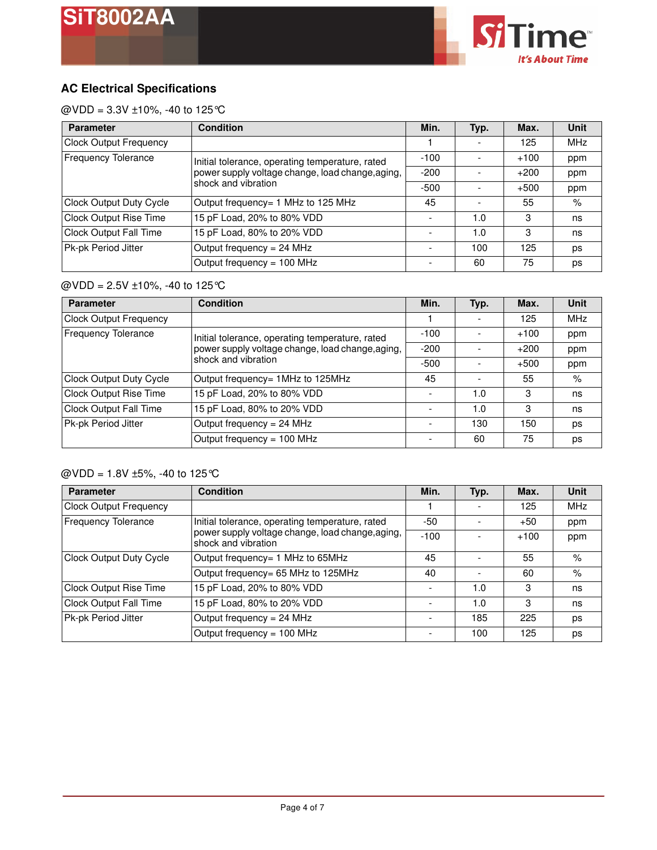

# **AC Electrical Specifications**

@VDD =  $3.3V \pm 10$ %, -40 to 125 °C

| <b>Parameter</b>              | <b>Condition</b>                                                        | Min.   | Typ. | Max.   | <b>Unit</b> |
|-------------------------------|-------------------------------------------------------------------------|--------|------|--------|-------------|
| <b>Clock Output Frequency</b> |                                                                         |        |      | 125    | <b>MHz</b>  |
| <b>Frequency Tolerance</b>    | Initial tolerance, operating temperature, rated                         | $-100$ |      | $+100$ | ppm         |
|                               | power supply voltage change, load change, aging,<br>shock and vibration | $-200$ |      | $+200$ | ppm         |
|                               |                                                                         | $-500$ |      | $+500$ | ppm         |
| Clock Output Duty Cycle       | Output frequency= 1 MHz to 125 MHz                                      | 45     |      | 55     | %           |
| <b>Clock Output Rise Time</b> | 15 pF Load, 20% to 80% VDD                                              |        | 1.0  | 3      | ns          |
| <b>Clock Output Fall Time</b> | 15 pF Load, 80% to 20% VDD                                              |        | 1.0  | 3      | ns          |
| Pk-pk Period Jitter           | Output frequency = 24 MHz                                               |        | 100  | 125    | ps          |
|                               | Output frequency = 100 MHz                                              |        | 60   | 75     | DS          |

# @VDD = 2.5V ±10%, -40 to 125°C

| <b>Parameter</b>              | <b>Condition</b>                                                        | Min.   | Typ. | Max.   | <b>Unit</b> |
|-------------------------------|-------------------------------------------------------------------------|--------|------|--------|-------------|
| <b>Clock Output Frequency</b> |                                                                         |        |      | 125    | <b>MHz</b>  |
| <b>Frequency Tolerance</b>    | Initial tolerance, operating temperature, rated                         | $-100$ |      | $+100$ | ppm         |
|                               | power supply voltage change, load change, aging,<br>shock and vibration | $-200$ |      | $+200$ | ppm         |
|                               |                                                                         | $-500$ |      | $+500$ | ppm         |
| Clock Output Duty Cycle       | Output frequency= 1MHz to 125MHz                                        | 45     |      | 55     | $\%$        |
| <b>Clock Output Rise Time</b> | 15 pF Load, 20% to 80% VDD                                              |        | 1.0  | 3      | ns          |
| Clock Output Fall Time        | 15 pF Load, 80% to 20% VDD                                              |        | 1.0  | 3      | ns          |
| Pk-pk Period Jitter           | Output frequency = 24 MHz                                               |        | 130  | 150    | ps          |
|                               | Output frequency = 100 MHz                                              |        | 60   | 75     | ps          |

# $@VDD = 1.8V \pm 5\%, -40 \text{ to } 125^{\circ}\text{C}$

| <b>Parameter</b>              | Condition                                                               | Min.   | Typ. | Max.   | Unit       |
|-------------------------------|-------------------------------------------------------------------------|--------|------|--------|------------|
| <b>Clock Output Frequency</b> |                                                                         |        |      | 125    | <b>MHz</b> |
| <b>Frequency Tolerance</b>    | Initial tolerance, operating temperature, rated                         | -50    |      | $+50$  | ppm        |
|                               | power supply voltage change, load change, aging,<br>shock and vibration | $-100$ |      | $+100$ | ppm        |
| Clock Output Duty Cycle       | Output frequency= 1 MHz to 65MHz                                        | 45     |      | 55     | %          |
|                               | Output frequency= 65 MHz to 125MHz                                      | 40     |      | 60     | $\%$       |
| <b>Clock Output Rise Time</b> | 15 pF Load, 20% to 80% VDD                                              |        | 1.0  | 3      | ns         |
| <b>Clock Output Fall Time</b> | 15 pF Load, 80% to 20% VDD                                              |        | 1.0  | 3      | ns         |
| Pk-pk Period Jitter           | Output frequency = $24$ MHz                                             |        | 185  | 225    | ps         |
|                               | Output frequency = 100 MHz                                              |        | 100  | 125    | ps         |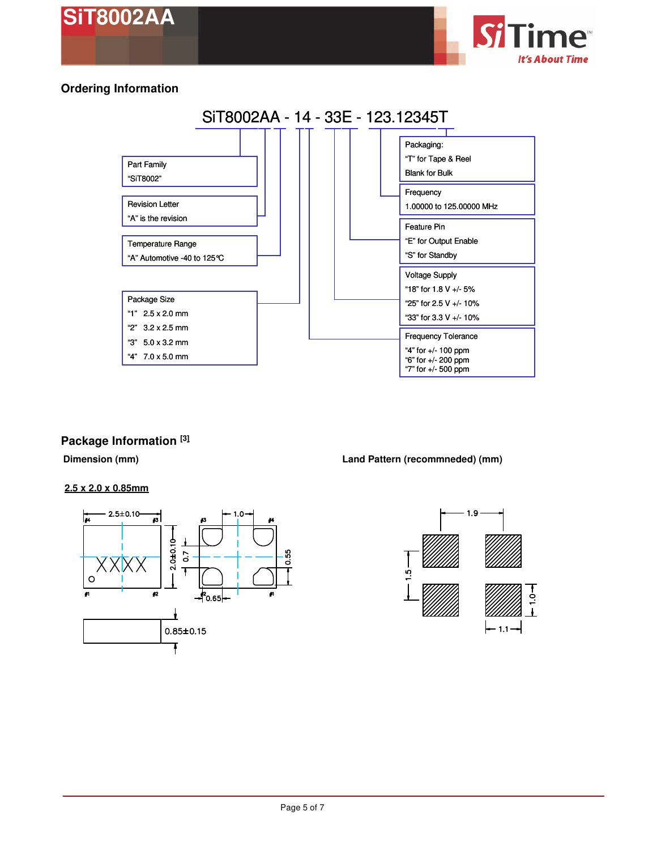



# **Ordering Information**



# **Package Information [3]**

#### **2.5 x 2.0 x 0.85mm**



#### **Dimension (mm) Land Pattern (recommneded) (mm)**

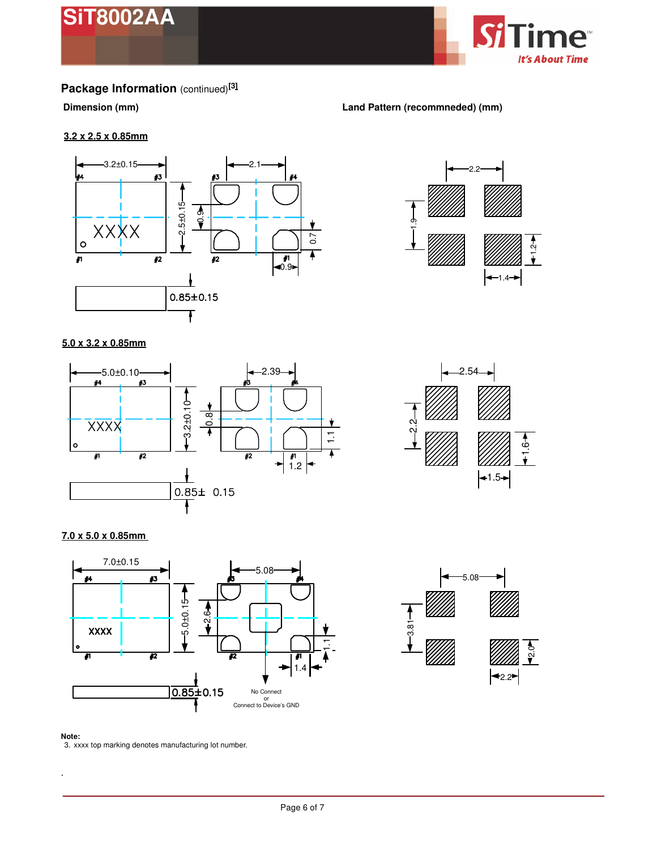



# **Package Information** (continued)**[3]**

#### **Dimension (mm) Land Pattern (recommneded) (mm)**

ာ့ $_{\rm -}$ 

#### **3.2 x 2.5 x 0.85mm**



#### **5.0 x 3.2 x 0.85mm**





2.2

 $+1.4+$ 

 $\ddot{ }$ .

#### **7.0 x 5.0 x 0.85mm**





#### **Note:**

.

3. xxxx top marking denotes manufacturing lot number.